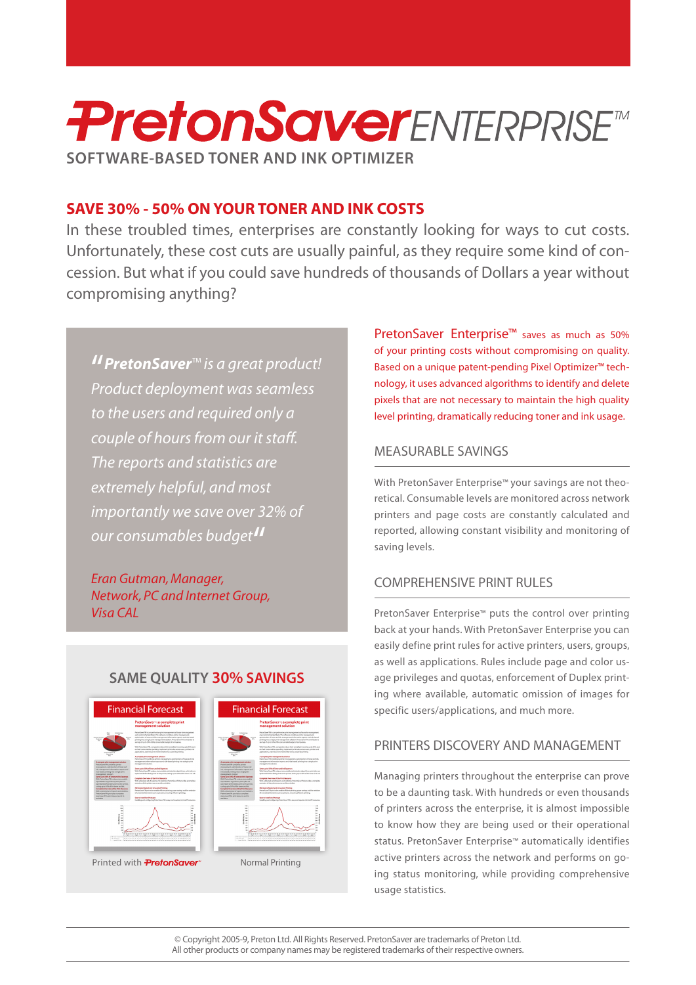# **PretonSaverENTERPRISETM SOFTWARE-BASED TONER AND INK OPTIMIZER**

### **COSTS** SAVE 30% - 50% ON YOUR TONER AND INK COSTS

In these troubled times, enterprises are constantly looking for ways to cut costs. cession. But what if you could save hundreds of thousands of Dollars a year without Unfortunately, these cost cuts are usually painful, as they require some kind of concompromising anything?

*<i>I* PretonSaver<sup>™</sup> *is a great product! Product deployment was seamless to the users and required only a couple* of hours from our it staff. *The reports and statistics are extremely helpful, and most importantly* we save over 32% of our consumables budget<sup>11</sup>

*Eran Gutman, Manager,* **Network, PC and Internet Group,** *CAL Visa*

**SAME OUALITY 30% SAVINGS** 



PretonSaver Enterprise<sup>™</sup> saves as much as 50% of your printing costs without compromising on quality. nology, it uses advanced algorithms to identify and delete Based on a unique patent-pending Pixel Optimizer<sup>™</sup> techpixels that are not necessary to maintain the high quality level printing, dramatically reducing toner and ink usage.

### MEASURABLE SAVINGS

retical. Consumable levels are monitored across network With PretonSaver Enterprise<sup>™</sup> your savings are not theoprinters and page costs are constantly calculated and reported, allowing constant visibility and monitoring of saving levels.

### COMPREHENSIVE PRINT RULES

PretonSaver Enterprise™ puts the control over printing back at your hands. With PretonSaver Enterprise you can easily define print rules for active printers, users, groups, ing where available, automatic omission of images for age privileges and quotas, enforcement of Duplex printas well as applications. Rules include page and color usspecific users/applications, and much more.

### PRINTERS DISCOVERY AND MANAGEMENT

Managing printers throughout the enterprise can prove to be a daunting task. With hundreds or even thousands of printers across the enterprise, it is almost impossible to know how they are being used or their operational status. PretonSaver Enterprise™ automatically identifies ing status monitoring, while providing comprehensive active printers across the network and performs on gousage statistics.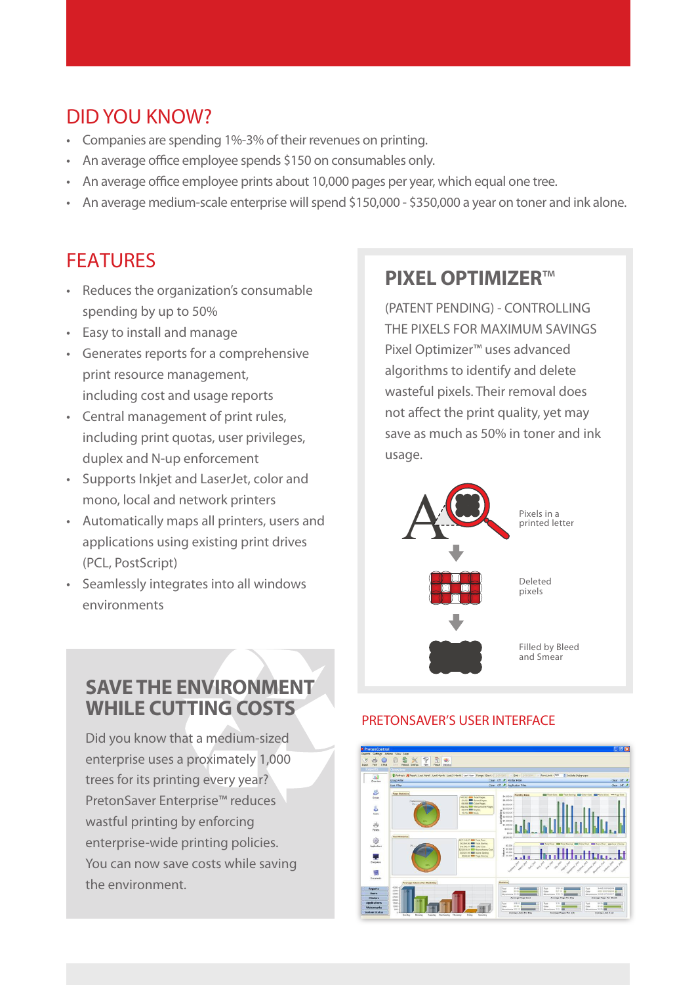## DID YOU KNOW?

- Companies are spending 1%-3% of their revenues on printing.
- An average office employee spends \$150 on consumables only.
- An average office employee prints about 10,000 pages per year, which equal one tree.
- An average medium-scale enterprise will spend \$150,000 \$350,000 a vear on toner and ink alone.

### FEATURES

- Reduces the organization's consumable spending by up to 50%
- Easy to install and manage
- Generates reports for a comprehensive print resource management, including cost and usage reports
- Central management of print rules, including print quotas, user privileges, duplex and N-up enforcement
- Supports Inkjet and LaserJet, color and mono, local and network printers
- Automatically maps all printers, users and applications using existing print drives (PCL, PostScript)
- Seamlessly integrates into all windows environments

### **SAVE THE ENVIRONMENT WHILE CUTTING COSTS**

Did you know that a medium-sized enterprise uses a proximately 1,000 trees for its printing every year? PretonSaver Enterprise<sup>™</sup> reduces wastful printing by enforcing enterprise-wide printing policies. You can now save costs while saving the environment.

### **PIXEL OPTIMIZER™**

(PATENT PENDING) - CONTROLLING THE PIXELS FOR MAXIMUM SAVINGS Pixel Optimizer<sup>™</sup> uses advanced algorithms to identify and delete wasteful pixels. Their removal does not affect the print quality, yet may save as much as 50% in toner and ink usage.



#### PRETONSAVER'S USER INTERFACE